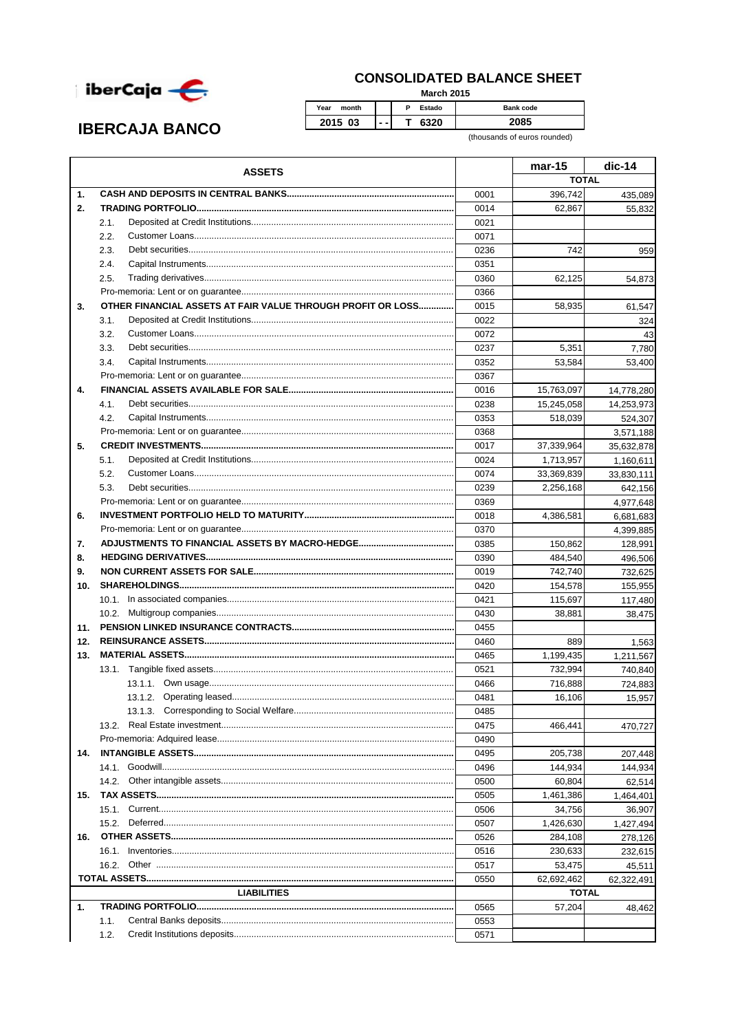

## **CONSOLIDATED BALANCE SHEET**

**March 2015** 

| <b>IBERCAJA BANCO</b> |  |
|-----------------------|--|
|-----------------------|--|

 $\overline{P}$ Estado Year month Bank code 2015 03  $\overline{\mathsf{T}}$ 6320 2085  $\sim$  .

(thousands of euros rounded)

|     | <b>ASSETS</b>                                               |              | mar-15       | $dic-14$   |
|-----|-------------------------------------------------------------|--------------|--------------|------------|
|     |                                                             |              | <b>TOTAL</b> |            |
| 1.  |                                                             | 0001         | 396,742      | 435,089    |
| 2.  |                                                             | 0014         | 62,867       | 55,832     |
|     | 2.1.                                                        | 0021         |              |            |
|     | 2.2.                                                        | 0071         |              |            |
|     | 2.3.                                                        | 0236         | 742          | 959        |
|     | 2.4.                                                        | 0351         |              |            |
|     | 2.5.                                                        | 0360         | 62,125       | 54,873     |
|     |                                                             | 0366         |              |            |
| 3.  | OTHER FINANCIAL ASSETS AT FAIR VALUE THROUGH PROFIT OR LOSS | 0015         | 58,935       | 61,547     |
|     | 3.1.                                                        | 0022         |              | 324        |
|     | 3.2.                                                        | 0072         |              | 43         |
|     | 3.3.                                                        | 0237         | 5,351        | 7,780      |
|     | 3.4.                                                        | 0352         | 53,584       | 53,400     |
|     |                                                             | 0367         |              |            |
| 4.  |                                                             | 0016         | 15,763,097   | 14,778,280 |
|     | 4.1.                                                        | 0238         | 15,245,058   | 14,253,973 |
|     | 4.2.                                                        | 0353         | 518,039      | 524,307    |
|     |                                                             | 0368         |              | 3,571,188  |
| 5.  |                                                             | 0017         | 37,339,964   | 35,632,878 |
|     | 5.1.                                                        | 0024         | 1,713,957    | 1,160,611  |
|     | 5.2.                                                        | 0074         | 33,369,839   | 33,830,111 |
|     | 5.3.                                                        | 0239         | 2,256,168    | 642,156    |
|     |                                                             | 0369         |              | 4,977,648  |
| 6.  |                                                             | 0018         | 4,386,581    | 6,681,683  |
|     |                                                             | 0370         |              | 4,399,885  |
| 7.  |                                                             | 0385         | 150,862      | 128,991    |
| 8.  |                                                             | 0390         | 484,540      | 496,506    |
| 9.  |                                                             | 0019         | 742,740      | 732,625    |
| 10. |                                                             | 0420         | 154,578      | 155,955    |
|     |                                                             | 0421         | 115,697      | 117,480    |
|     |                                                             | 0430         | 38,881       | 38,475     |
| 11. |                                                             | 0455         |              |            |
| 12. |                                                             | 0460         | 889          | 1,563      |
| 13. |                                                             | 0465         | 1,199,435    | 1,211,567  |
|     |                                                             | 0521         | 732,994      | 740,840    |
|     |                                                             | 0466         | 716,888      | 724,883    |
|     |                                                             | 0481         | 16,106       | 15,957     |
|     | 13.1.3. Corresponding to Social Welfare                     | 0485         |              |            |
|     |                                                             | 0475         | 466,441      | 470,727    |
|     |                                                             | 0490         |              |            |
| 14. |                                                             | 0495         | 205,738      | 207,448    |
|     |                                                             | 0496         | 144,934      | 144.934    |
|     |                                                             | 0500         | 60,804       |            |
| 15. |                                                             |              |              | 62,514     |
|     |                                                             | 0505<br>0506 | 1,461,386    | 1,464,401  |
|     |                                                             |              | 34,756       | 36,907     |
|     |                                                             | 0507<br>0526 | 1,426,630    | 1,427,494  |
| 16. |                                                             |              | 284,108      | 278,126    |
|     |                                                             | 0516         | 230,633      | 232,615    |
|     |                                                             | 0517         | 53,475       | 45,511     |
|     |                                                             | 0550         | 62,692,462   | 62,322,491 |
|     | <b>LIABILITIES</b>                                          |              | <b>TOTAL</b> |            |
| 1.  |                                                             | 0565         | 57,204       | 48,462     |
|     | 1.1.                                                        | 0553         |              |            |
|     | 1.2.                                                        | 0571         |              |            |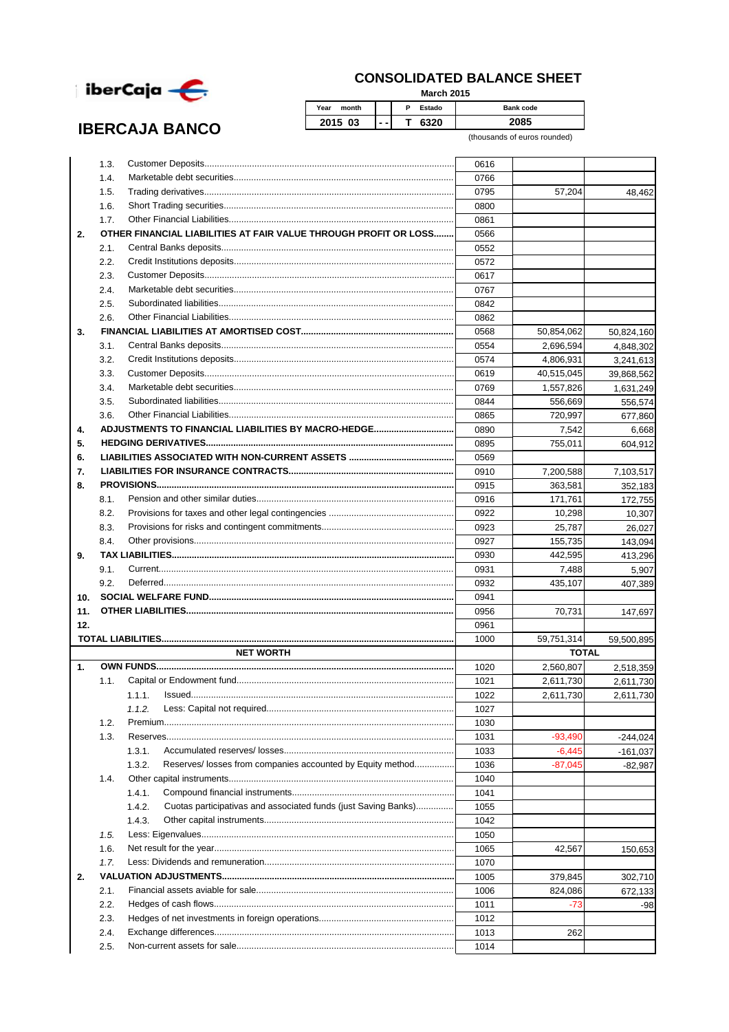

**IBERCAJA BANCO** 

## **CONSOLIDATED BALANCE SHEET**

**March 2015**

| Year<br>month |    | P<br>Estado | <b>Bank code</b> |
|---------------|----|-------------|------------------|
| 2015 03       | -- | חמי         |                  |

(thousands of euros rounded)

|     | 1.3. |                                                                      | 0616 |              |            |
|-----|------|----------------------------------------------------------------------|------|--------------|------------|
|     | 1.4. |                                                                      | 0766 |              |            |
|     | 1.5. |                                                                      | 0795 | 57,204       | 48,462     |
|     | 1.6. |                                                                      | 0800 |              |            |
|     | 1.7. |                                                                      | 0861 |              |            |
| 2.  |      | OTHER FINANCIAL LIABILITIES AT FAIR VALUE THROUGH PROFIT OR LOSS     | 0566 |              |            |
|     | 2.1. |                                                                      | 0552 |              |            |
|     | 2.2. |                                                                      | 0572 |              |            |
|     | 2.3. |                                                                      | 0617 |              |            |
|     | 2.4. |                                                                      | 0767 |              |            |
|     | 2.5. |                                                                      | 0842 |              |            |
|     | 2.6. |                                                                      | 0862 |              |            |
| 3.  |      |                                                                      | 0568 | 50,854,062   | 50,824,160 |
|     | 3.1. |                                                                      | 0554 | 2,696,594    | 4,848,302  |
|     | 3.2. |                                                                      | 0574 | 4,806,931    | 3,241,613  |
|     | 3.3. |                                                                      | 0619 | 40,515,045   | 39,868,562 |
|     | 3.4. |                                                                      | 0769 | 1,557,826    |            |
|     | 3.5. |                                                                      | 0844 | 556,669      | 1,631,249  |
|     |      |                                                                      |      |              | 556,574    |
|     | 3.6. |                                                                      | 0865 | 720,997      | 677,860    |
| 4.  |      |                                                                      | 0890 | 7,542        | 6,668      |
| 5.  |      |                                                                      | 0895 | 755,011      | 604,912    |
| 6.  |      |                                                                      | 0569 |              |            |
| 7.  |      |                                                                      | 0910 | 7,200,588    | 7,103,517  |
| 8.  |      |                                                                      | 0915 | 363,581      | 352,183    |
|     | 8.1. |                                                                      | 0916 | 171,761      | 172,755    |
|     | 8.2. |                                                                      | 0922 | 10,298       | 10,307     |
|     | 8.3. |                                                                      | 0923 | 25,787       | 26,027     |
|     | 8.4. |                                                                      | 0927 | 155,735      | 143,094    |
| 9.  |      |                                                                      | 0930 | 442,595      | 413,296    |
|     | 9.1. |                                                                      | 0931 | 7,488        | 5,907      |
|     | 9.2. |                                                                      | 0932 | 435,107      | 407,389    |
| 10. |      |                                                                      | 0941 |              |            |
| 11. |      |                                                                      | 0956 | 70,731       | 147,697    |
| 12. |      |                                                                      | 0961 |              |            |
|     |      |                                                                      | 1000 | 59,751,314   | 59,500,895 |
|     |      | <b>NET WORTH</b>                                                     |      | <b>TOTAL</b> |            |
| 1.  |      |                                                                      | 1020 | 2,560,807    | 2,518,359  |
|     | 1.1. |                                                                      | 1021 | 2,611,730    | 2,611,730  |
|     |      | 1.1.1.                                                               | 1022 | 2,611,730    | 2,611,730  |
|     |      |                                                                      | 1027 |              |            |
|     | 1.2. |                                                                      | 1030 |              |            |
|     | 1.3. |                                                                      | 1031 | $-93,490$    | $-244,024$ |
|     |      | 1.3.1.                                                               | 1033 | $-6,445$     | $-161,037$ |
|     |      | 1.3.2.<br>Reserves/ losses from companies accounted by Equity method | 1036 | $-87,045$    | $-82,987$  |
|     | 1.4. |                                                                      | 1040 |              |            |
|     |      | 1.4.1.                                                               | 1041 |              |            |
|     |      | 1.4.2.                                                               |      |              |            |
|     |      | Cuotas participativas and associated funds (just Saving Banks)       | 1055 |              |            |
|     |      | 1.4.3.                                                               | 1042 |              |            |
|     | 1.5. |                                                                      | 1050 |              |            |
|     | 1.6. |                                                                      | 1065 | 42,567       | 150,653    |
|     | 1.7. |                                                                      | 1070 |              |            |
| 2.  |      |                                                                      | 1005 | 379,845      | 302,710    |
|     | 2.1. |                                                                      | 1006 | 824,086      | 672,133    |
|     | 2.2. |                                                                      | 1011 | -73          | -98        |
|     |      |                                                                      | 1012 |              |            |
|     | 2.3. |                                                                      |      |              |            |
|     | 2.4. |                                                                      | 1013 | 262          |            |